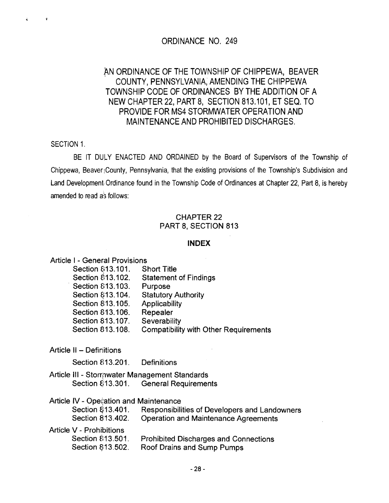### ORDINANCE NO. 249

# AN ORDINANCE OF THE TOWNSHIP OF CHIPPEWA, BEAVER COUNTY, PENNSYLVANIA, AMENDING THE CHIPPEWA TOWNSHIP CODE OF ORDINANCES BY THE ADDITION OF A NEW CHAPTER 22, PART 8, SECTION 813.101, ET SEQ. TO PROVIDE FOR MS4 STORMWATER OPERATION AND MAINTENANCE AND PROHIBITED DISCHARGES.

SECTION 1.

 $\hat{\mathbf{r}}$ 

ŝ.

BE IT DULY ENACTED AND ORDAINED by the Board of Supervisors of the Township of Chippewa, BeaverjCounty, Pennsylvania, that the existing provisions of the Township's Subdivision and Land Development Ordinance found in the Township Code of Ordinances at Chapter 22, Part 8, is hereby amended to read as follows:

### CHAPTER 22 PART 8, SECTION 813

#### **INDEX**

Article I - General Provisions Section 813.101. Short Title Section \$13.102. Statement of Findings Section 813.103. Purpose Section §13.104. Statutory Authority Section 813.105. Applicability Section 813.106. Repealer Section 813.107. Severability Section 813.108. Compatibility with Other Requirements

Article II - Definitions

Section 813.201. Definitions

Article III - Stormwater Management Standards Section  $613.301$ . General Requirements

Article IV - Operation and Maintenance

| Section 813.401.<br>Section 813.402. | Responsibilities of Developers and Landowners<br><b>Operation and Maintenance Agreements</b> |
|--------------------------------------|----------------------------------------------------------------------------------------------|
| Article V - Prohibitions             |                                                                                              |
| Section 813.501.                     | <b>Prohibited Discharges and Connections</b>                                                 |
| Section 813.502.                     | Roof Drains and Sump Pumps                                                                   |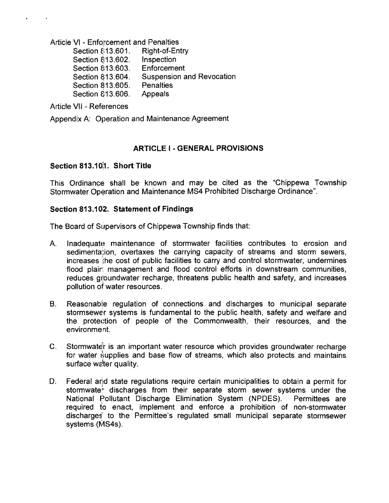Article VI - Enforcement and Penalties

Section 813.601. Right-of-Entry Section 813.602. Inspection Section 813.603. Enforcement Section 813.604. Suspension and Revocation Section 813.605. Penalties Section 813.606. Appeals

Article VII - References

 $\hat{\bullet}$ 

 $\sim 100$ 

Appendix A: Operation and Maintenance Agreement

### **ARTICLE** I . **GENERAL PROVISIONS**

### **Section 813.1** 0;1. **Short Title**

This Ordinance shall be known and may be cited as the "Chippewa Township Stormwater Operation and Maintenance MS4 Prohibited Discharge Ordinance".

#### **Section 813.102. Statement of Findings**

The Board of Supervisors of Chippewa Township finds that:

- A. Inadequate maintenance of stormwater facilities contributes to erosion and sedimenta;ion, overtaxes the carrying capacity of streams and storm sewers, increases the cost of public facilities to carry and control stormwater, undermines flood plair: management and flood control efforts in downstream communities, reduces groundwater recharge, threatens public health and safety, and increases pollution of water resources. .
- B. Reasonable regulation of connections and discharges to municipal separate stormsewer systems is fundamental to the public health, safety and welfare and the protection of people of the Commonwealth, their resources, and the environment.
- C. Stormwater is an important water resource which provides groundwater recharge for water supplies and base flow of streams, which also protects and maintains surface water quality.
- D. Federal and state regulations require certain municipalities to obtain a permit for stormwate: discharges from their separate storm sewer systems under the National Pollutant Discharge Elimination System (NPDES). Permittees are required to enact, implement and enforce a prohibition of non-stormwater discharges' to the Permittee's regulated small municipal separate stormsewer systems (MS4s).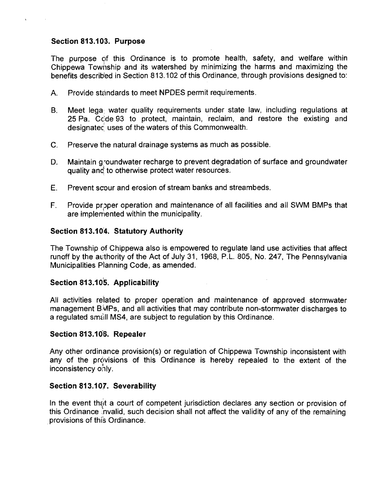### Section 813.103. Purpose

The purpose of this Ordinance is to promote health, safety, and welfare within Chippewa Township and its watershed by minimizing the harms and maximizing the benefits described in Section 813.102 of this Ordinance, through provisions designed to:

- A. Provide standards to meet NPDES permit requirements.
- B. Meet lega: water quality requirements under state law, including regulations at 25 Pa. Ccde 93 to protect, maintain, reclaim, and restore the existing and designated uses of the waters of this Commonwealth.
- c. Preserve the natural drainage systems as much as possible.
- D. Maintain groundwater recharge to prevent degradation of surface and groundwater quality and to otherwise protect water resources.
- E. Prevent scour and erosion of stream banks and streambeds.
- F. Provide proper operation and maintenance of all facilities and all SWM BMPs that are implemented within the municipality.

### Section 813.104. Statutory Authority

The Township of Chippewa also is empowered to regulate land use activities that affect runoff by the authority of the Act of July 31, 1968, P.L. 805, No. 247, The Pennsylvania Municipalities Planning Code, as amended.

### Section 813.105. Applicability

All activities related to proper operation and maintenance of approved stormwater management  $\beta\text{MPs}$ , and all activities that may contribute non-stormwater discharges to a regulated small MS4, are subject to regulation by this Ordinance.

### Section 813.106. Repealer

Any other ordinance provision(s) or regulation of Chippewa Township inconsistent with any of the provisions of this Ordinance is hereby repealed to the extent of the inconsistency ohly.

### Section *813.107.* Severability

In the event that a court of competent jurisdiction declares any section or provision of this Ordinance invalid, such decision shall not affect the validity of any of the remaining provisions of this Ordinance.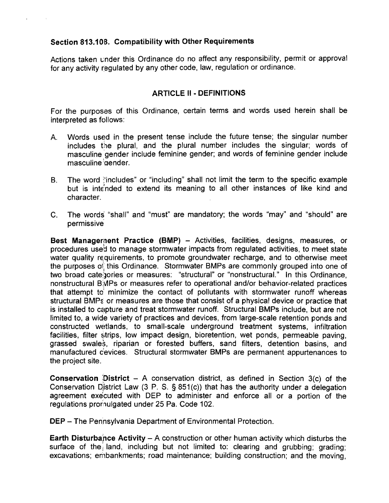### Section 813.108. Compatibility with Other Requirements

Actions taken under this Ordinance do no affect any responsibility, permit or approval for any activity regulated by any other code, law, regulation or ordinance.

## ARTICLE II • DEFINITIONS

For the purposes of this Ordinance, certain terms and words used herein shall be interpreted as follows:

- A. Words used in the present tense include the future tense; the singular number includes the plural, and the plural number includes the singular; words of masculine 'gender include feminine gender; and words of feminine gender include masculine *qender*.
- B. The word :'includes" or "including" shall not limit the term to the specific example but is int€nded to extend its meaning to all other instances of like kind and character.
- C. The words "shall" and "must" are mandatory; the words "may" and "should" are permissive

Best Management Practice (BMP) - Activities, facilities, designs, measures, or procedures used to manage stormwater impacts from regulated activities, to meet state water quality requirements, to promote groundwater recharge, and to otherwise meet the purposes of this Ordinance. Stormwater BMPs are commonly grouped into one of two broad cate:)ories or measures: "structural" or "nonstructural." In this Ordinance, nonstructural B<sub>3</sub>MPs or measures refer to operational and/or behavior-related practices that attempt to' minimize the contact of pollutants with stormwater runoff whereas structural BMPs or measures are those that consist of a physical device or practice that is installed to capture and treat stormwater runoff. Structural BMPs include, but are not limited to, a wide variety of practices and devices, from large-scale retention ponds and constructed wetlands, to small-scale underground treatment systems, infiltration facilities, filter strips, low impact design, bioretention, wet ponds, permeable paving, grassed swale\$, riparian or forested buffers, sand filters, detention basins, and manufactured cevices. Structural stormwater BMPs are permanent appurtenances to the project site.

**Conservation District - A conservation district, as defined in Section 3(c) of the** Conservation District Law  $(3 \text{ P. S. } § 851(c))$  that has the authority under a delegation agreement exe'cuted with DEP to administer and enforce all or a portion of the regulations prornulgated under 25 Pa. Code 102.

DEP - The Pennsylvania Department of Environmental Protection.

Earth Disturbance Activity  $- A$  construction or other human activity which disturbs the surface of the land, including but not limited to: clearing and grubbing; grading; excavations; embankments; road maintenance; building construction; and the moving.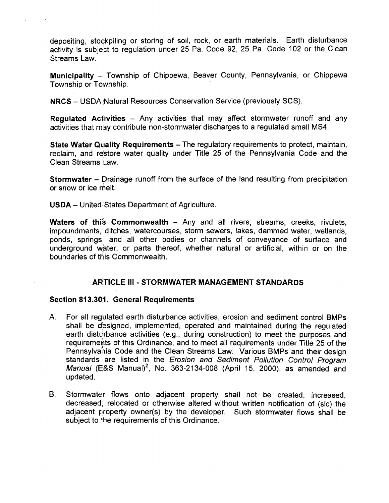depositing, stockpiling or storing of soil, rock, or earth materials. Earth disturbance activity is subject to regulation under 25 Pa. Code 92, 25 Pa. Code 102 or the Clean Streams Law.

Municipality - Township of Chippewa, Beaver County, Pennsylvania, or Chippewa Township or Township.

NRCS - USDA Natural Resources Conservation Service (previously SCS).

Regulated Activities - Any activities that may affect stormwater runoff and any activities that may contribute non-stormwater discharges to a regulated small MS4.

State Water Quality Requirements - The regulatory requirements to protect, maintain, reclaim, and restore water quality under Title 25 of the Pennsylvania Code and the Clean Streams Law.

**Stormwater** – Drainage runoff from the surface of the land resulting from precipitation or snow or ice melt.

USDA - United 'States Department of Agriculture.

Waters of this Commonwealth  $-$  Any and all rivers, streams, creeks, rivulets, impoundments, 'ditches, watercourses, storm sewers, lakes, dammed water, wetlands, ponds, springs and all other bodies or channels of conveyance of surface and underground water, or parts thereof, whether natural or artificial, within or on the boundaries of this Commonwealth.

### ARTICLE III - STORMWATER MANAGEMENT STANDARDS

### Section 813.301. General Requirements

- A. For all regulated earth disturbance activities, erosion and sediment control BMPs shall be designed, implemented, operated and maintained during the regulated earth disturbance activities (e.g., during construction) to meet the purposes and requirements of this Ordinance, and to meet all requirements under Title 25 of the<br>Pennsylvania Code and the Clean Streams Law. Various BMPs and their design standards are listed in the Erosion and Sediment Pollution Control Program Manual (E&S Manual)<sup>2</sup>, No. 363-2134-008 (April 15, 2000), as amended and updated.
- B. Stormwater flows onto adjacent property shall not be created, increased, decreased; relocated or otherwise altered without written notification of (sic) the adjacent property owner(s) by the developer. Such stormwater flows shall be subject to the requirements of this Ordinance.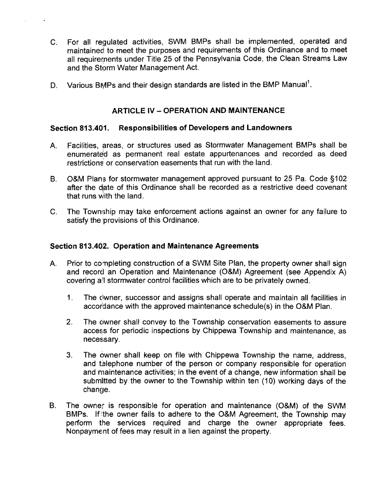- C. For all regulated activities, SWM BMPs shall be implemented, operated and maintained to meet the purposes and requirements of this Ordinance and to meet all requirements under Title 25 of the Pennsylvania Code, the Clean Streams Law and the Storm Water Management Act.
- D. Various BMPs and their design standards are listed in the BMP Manual<sup>1</sup>.

### **ARTICLE IV - OPERATION AND MAINTENANCE**

#### Section 813.401. Responsibilities of Developers and Landowners

 $\mathcal{L}$ 

- A. Facilities, areas, or structures used as Stormwater Management BMPs shall be enumeratefd as permanent real estate appurtenances and recorded as deed restrictions or conservation easements that run with the land.
- B. O&M Plans for stormwater management approved pursuant to 25 Pa. Code §102 after the date of this Ordinance shall be recorded as a restrictive deed covenant that runs with the land.
- C. The Township may take enforcement actions against an owner for any failure to satisfy the provisions of this Ordinance.

#### Section 813.402. Operation and Maintenance Agreements

- A. Prior to completing construction of a SWM Site Plan, the property owner shall sign and record an Operation and Maintenance (O&M) Agreement (see Appendix A) covering all stormwater control facilities which are to be privately owned.
	- 1. The dwner, successor and assigns shall operate and maintain all facilities in accordance with the approved maintenance schedule(s) in the O&M Plan.
	- 2. The owner shall convey to the Township conservation easements to assure access for periodic inspections by Chippewa Township and maintenance, as necessary.
	- 3. The owner shall keep on file with Chippewa Township the name, address, and telephone number of the person or company responsible for operation and maintenance activities; in the event of a change, new information shall be submitted by the owner to the Township within ten (10) working days of the change.
- B. The owner is responsible for operation and maintenance (O&M) of the SWM BMPs. If the owner fails to adhere to the O&M Agreement, the Township may perform the services required and charge the owner appropriate fees. Nonpayment of fees may result in a lien against the property.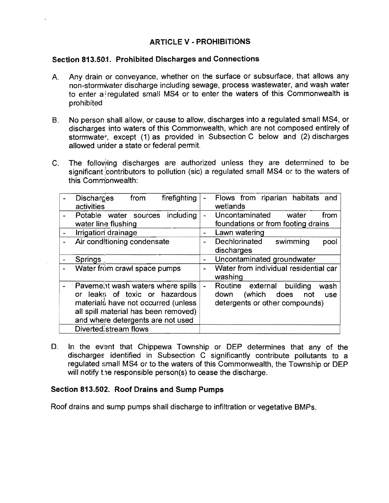## ARTICLE V • PROHIBITIONS

### Section 813.50:1. Prohibited Discharges and Connections

- A. Any drain or conveyance, whether on the surface or subsurface, that allows any non-stormwater discharge including sewage, process wastewater, and wash water to enter a regulated small MS4 or to enter the waters of this Commonwealth is prohibited
- B. No person shall allow, or cause to allow, discharges into a regulated small MS4, or discharges into waters of this Commonwealth, which are not composed entirely of stormwater, except (1) as provided in Subsection C below and (2) discharges allowed unider a state or federal permit.
- C. The following discharges are authorized unless they are determined to be significant contributors to pollution (sic) a regulated small MS4 or to the waters of this Commonwealth:

| <b>Discharges</b><br>firefighting<br>from<br>activities                                                                                                                                 | $\blacksquare$ | Flows from riparian habitats<br>and<br>wetlands                                                                   |  |  |
|-----------------------------------------------------------------------------------------------------------------------------------------------------------------------------------------|----------------|-------------------------------------------------------------------------------------------------------------------|--|--|
| including<br>Potable water sources<br>water line flushing                                                                                                                               | $\blacksquare$ | Uncontaminated<br>water<br>from<br>foundations or from footing drains                                             |  |  |
| Irrigation drainage                                                                                                                                                                     |                | Lawn watering                                                                                                     |  |  |
| Air conditioning condensate                                                                                                                                                             |                | Dechlorinated<br>swimming<br>pool<br>discharges                                                                   |  |  |
| Springs                                                                                                                                                                                 |                | Uncontaminated groundwater                                                                                        |  |  |
| Water from crawl space pumps                                                                                                                                                            |                | Water from individual residential car<br>washing                                                                  |  |  |
| Pavement wash waters where spills<br>or leaks of toxic or hazardous<br>materials have not occurred (unless<br>all spill material has been removed)<br>and where detergents are not used |                | Routine<br>external<br>building<br>wash<br>(which<br>does<br>down<br>not<br>use<br>detergents or other compounds) |  |  |
| Diverted; stream flows                                                                                                                                                                  |                |                                                                                                                   |  |  |

D. In the event that Chippewa Township or DEP determines that any of the discharges identified in Subsection C Significantly contribute pollutants to a regulated small MS4 or to the waters of this Commonwealth, the Township or DEP will notify the responsible person(s) to cease the discharge.

### Section 813.502. Roof Drains and Sump Pumps

Roof drains and sump pumps shall discharge to infiltration or vegetative BMPs.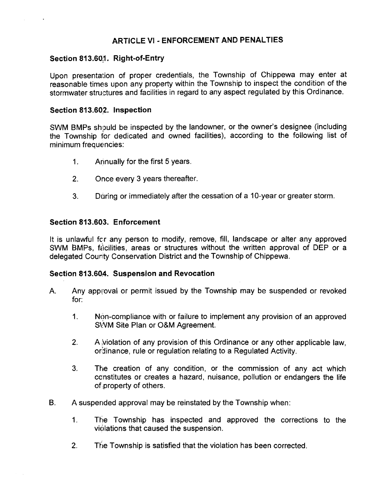### ARTICLE VI - ENFORCEMENT AND PENALTIES

### Section 813.60.1. Right-of-Entry

Upon presentation of proper credentials, the Township of Chippewa may enter at reasonable times upon any property within the Township to inspect the condition of the stormwater structures and facilities in regard to any aspect regulated by this Ordinance.

### Section 813.602. Inspection

SWM BMPs should be inspected by the landowner, or the owner's designee (including the Township for dedicated and owned facilities), according to the following list of minimum frequencies:

- 1. Arlnually for the first 5 years.
- 2. Once every 3 years thereafter.
- 3. During or immediately after the cessation of a 10-year or greater storm.

### Section 813.603. Enforcement

It is unlawful for any person to modify, remove, fill, landscape or alter any approved SWM BMPs, facilities, areas or structures without the written approval of DEP or a delegated County Conservation District and the Township of Chippewa.

### Section 813.604. Suspension and Revocation

- A. Any approval or permit issued by the Township may be suspended or revoked for:
	- 1. Non-compliance with or failure to implement any provision of an approved SWM Site Plan or O&M Agreement.
	- 2. A violation of any provision of this Ordinance or any other applicable law, ordinance, rule or regulation relating to a Regulated Activity.
	- 3. The creation of any condition, or the commission of any act which ccnstitutes or creates a hazard, nuisance, pollution or endangers the life of property of others.
- B. A suspended approval may be reinstated by the Township when:
	- 1. The Township has inspected and approved the corrections to the violations that caused the suspension.
	- 2. The Township is satisfied that the violation has been corrected.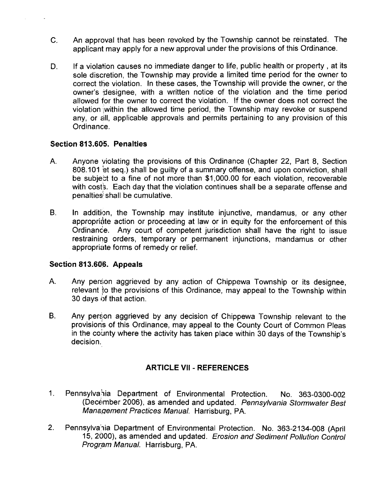- C. An approval that has been revoked by the Township cannot be reinstated. The applicant may apply for a new approval under the provisions of this Ordinance.
- D. If a violation causes no immediate danger to life, public health or property, at its sole discretion. the Township may provide a limited time period for the owner to correct the violation. In these cases, the Township will provide the owner, or the owner's designee, with a written notice of the violation and the time period allowed for the owner to correct the violation. If the owner does not correct the violation within the allowed time period, the Township may revoke or suspend any, or all, applicable approvals and permits pertaining to any provision of this Ordinance.

### **Section 813.605. Penalties**

- A. Anyone violating the provisions of this Ordinance (Chapter 22, Part 8, Section 808.101 et seq.) shall be guilty of a summary offense, and upon conviction, shall be subject to a fine of not more than \$1,000.00 for each violation, recoverable with cost's. Each day that the violation continues shall be a separate offense and penalties<sup>3</sup> shall be cumulative.
- B. In addition, the Township may institute injunctive, mandamus, or any other appropriate action or proceeding at law or in equity for the enforcement of this Ordinance. Any court of competent jurisdiction shall have the right to issue restraining orders, temporary or permanent injunctions, mandamus or other appropriate forms of remedy or relief.

### **Section 813.606. Appeals**

- A. Any person aggrieved by any action of Chippewa Township or its designee, relevant to the provisions of this Ordinance, may appeal to the Township within 30 days of that action.
- B. Any person aggrieved by any decision of Chippewa Township relevant to the provisions of this Ordinance, may appeal to the County Court of Common Pleas in the county where the activity has taken place within 30 days of the Township's decision.

### **ARTICLE VII - REFERENCES**

- 1. Pennsylvahia Department of Environmental Protection. No. 363-0300-002 (December 2006), as amended and updated. Pennsylvania Stormwater Best Manaaement Practices Manual. Harrisburg. PA.
- 2. Pennsylvania Department of Environmental Protection. No. 363-2134-008 (April 15, 2000), as amended and updated. Erosion and Sediment Pollution Control Program Manual. Harrisburg. PA.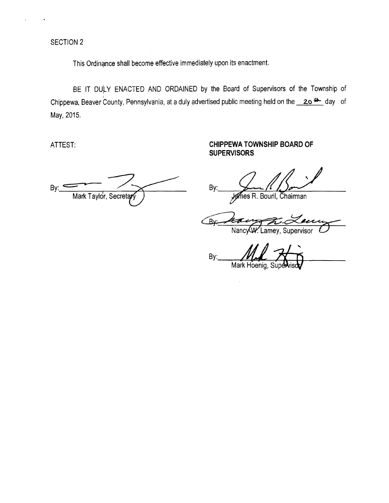SECTION 2

This Ordinance shall become effective immediately upon its enactment.

BE IT DULY ENACTED AND ORDAINED by the Board of Supervisors of the Township of Chippewa, Beaver County, Pennsylvania, at a duly advertised public meeting held on the **20<sup>th</sup>** day of May, 2015.

By: Mark Taylor, Secreta

ATTEST: **ATTEST: CHIPPEWA TOWNSHIP BOARD OF SUPERVISORS** 

 $By.$   $\frac{\sqrt{1-\frac{1}{2}}}{\sqrt{1-\frac{1}{2}}}}$ 

**Rv:** Nancy W. Lamey, Supervisor

By: Mark Hoenig.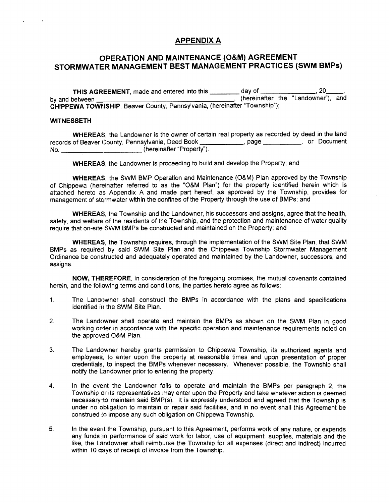### APPENDIX A

#### **OPERATION AND MAINTENANCE (O&M) AGREEMENT STORMWATER MANAGEMENT BEST MANAGEMENT PRACTICES (SWM BMPs)**

**THIS AGREEMENT**, made and entered into this \_\_\_\_\_\_\_ day of \_\_\_\_\_\_\_\_\_, 20\_<br>by and between (hereinafter the "Landowner") **by and between the "Landowner"), and CHIPPEWA TOWNSHIP, Beaver County, Pennsylvania, (hereinafter "Township");** 

#### **WITNESSETH**

 $\mathbf{r}$ 

**WHEREAS,** the Landowner is the owner of certain real property as recorded by deed in the land records of Beaver County, Pennsylvania, Deed Book \_\_\_\_\_\_\_\_\_\_\_\_, page \_\_\_\_\_\_\_\_\_, or Document No. (hereinafter "Property").

**WHEREAS,** the Landowner is proceeding to build and develop the Property; and

**WHEREAS,** the SWM BMP Operation and Maintenance (O&M) Plan approved by the Township of Chippewa (hereinafter referred to as the "O&M Plan") for the property identified herein which is attached hereto as Appendix A and made part hereof, as approved by the Township, provides for management of stormwater within the confines of the Property through the use of BMPs; and

**WHEREAS,** the Township and the Landowner, his successors and assigns, agree that the health, safety, and welfare of the residents of the Township, and the protection and maintenance of water quality require that on-site SWM BMPs be constructed and maintained on the Property; and

**WHEREAS,** the Township requires, through the implementation of the SWM Site Plan, that SWM BMPs as required by said SWM Site Plan and the Chippewa Township Stormwater Management Ordinance be constructed and adequately operated and maintained by the Landowner, successors, and assigns.

**NOW, THEREFORE, in consideration of the foregoing promises, the mutual covenants contained** herein, and the following terms and conditions, the parties hereto agree as follows:

- 1. The Landowner shall construct the BMPs in accordance with the plans and specifications identified in the SWM Site Plan.
- 2. The Landowner shall operate and maintain the BMPs as shown on the SWM Plan in good working order in accordance with the specific operation and maintenance requirements noted on the approved O&M Plan.
- 3. The Landowner hereby grants permission to Chippewa TownShip, its authorized agents and employees, to enter upon the property at reasonable times and upon presentation of proper credentials, to inspect the BMPs whenever necessary. Whenever possible, the Township shall notify the landowner prior to entering the property.
- 4. In the event the Landowner fails to operate and maintain the BMPs per paragraph 2, the Township or its representatives may enter upon the Property and take whatever action is deemed necessary:to maintain said BMP(s). It is expressly understood and agreed that the Township is under no obligation to maintain or repair said facilities, and in no event shall this Agreement be construed to impose any such obligation on Chippewa Township.
- 5. In the event the TownShip, pursuant to this Agreement, performs work of any nature, or expends any funds lin performance of said work for labor. use of equipment, supplies, materials and the like, the Landowner shall reimburse the Township for all expenses (direct and indirect) incurred like, the Landowner shall reimburse the Township for<br>within 10 days of receipt of invoice from the Township.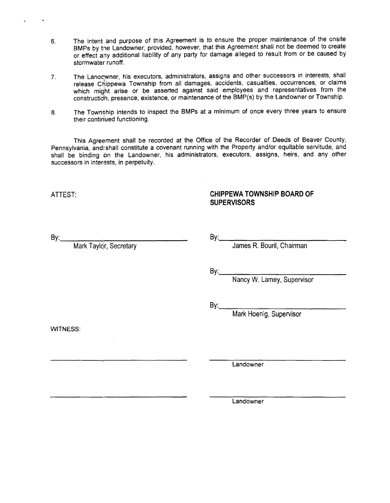- 6. The intent and purpose of this Agreement is to ensure the proper maintenance of the onsite BMPs by the Landowner; provided, however, that this Agreement shall not be deemed to create or effect any additional liability of any party for damage alleged to result from or be caused by stormwater runoff.
- 7. The Lanacwner, his executors, administrators, assigns and other successors in interests, shall release Chippewa Township from all damages, accidents, casualties, occurrences, or claims which might arise or be asserted against said employees and representatives from the construction, presence, existence, or maintenance of the BMP(s) by the Landowner or Township.
- 8. The Township intends to inspect the BMPs at a minimum of once every three years to ensure their continued functioning.

This Agreement shall be recorded at the Office of the Recorder of Deeds of Beaver County, Pennsylvania, and shall constitute a covenant running with the Property and/or equitable servitude, and shall be binding on the Landowner, his administrators, executors, assigns, heirs, and any other successors in interests, in perpetuity.

### ATTEST: **CHIPPEWA TOWNSHIP BOARD OF SUPERVISORS**

By:.\_\_\_\_....:\_-\_\_\_\_\_- By:,\_\_\_-=-=--\_\_----- Mark Taylqr, Secretary James R. Bouril, Chairman

By: <u>Nancy W. Lamey, Supervisor</u>

By: **Mark Hoenig, Supervisor** 

WITNESS:

Landowner

Landowner